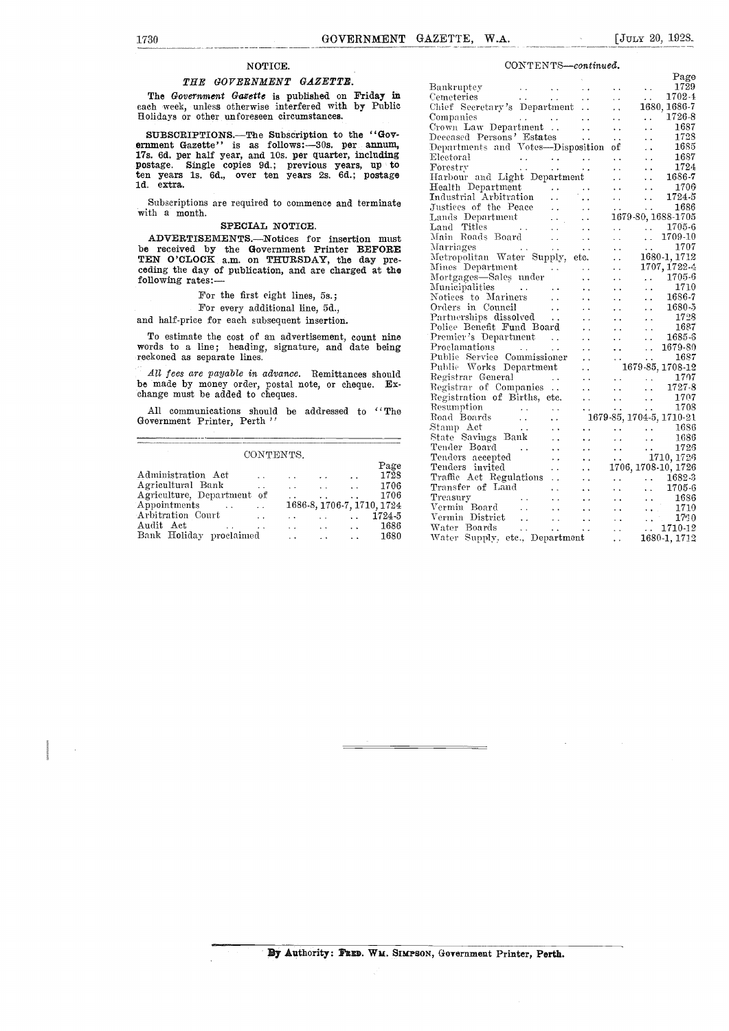## NOTICE.

#### THE GOVERNMENT GAZETTE.

The Government Gazette is published on Friday in each week, unless otherwise interfered with by Public Holidays or other unforeseen circumstances.

SUBSCRIPTIONS.—The Subscription to the "Gov-<br>ernment Gazette" is as follows:-30s. per annum, 17s. 6d. per half year, and 10s. per quarter, including postage. Single copies 9d.; previous years, up to Frorest<br>ten years 1s. 6d., over ten years 2s. 6d.; postage Harbo ld. extra.

Subscriptions are required to commence and terminate with a month.

#### SPECIAL NOTICE.

ADVERTISEMENTS.--Notices for insertion must be received by the Government Printer BEFORE Marriage TEN O'CLOCK a.m. on THURSDAY, the day pre-<br>ceding the day of publication, and are charged at the  $\frac{\text{Mfun}}{\text{Mgum}}$ following rates:

### For the first eight lines, 5s.;

## For every additional line, 5d.,

and half-price for each subsequent insertion.

To estimate the cost of an advertisement, count nine words to a line; heading, signature, and date being reckoned as separate lines.

All fees are payable in advance. Remittances should be made by money order, postal note, or cheque. Exchange must be added to cheques.

All communications should be addressed to "The Government Printer, Perth "

#### CONTENTS.

|                                                 |                          |                      | Page                       | Ten        |
|-------------------------------------------------|--------------------------|----------------------|----------------------------|------------|
| Administration Act<br>$\sim$<br>$\sim$          | $\sim$                   | $\ddot{\phantom{a}}$ | 1728                       | Tra        |
| Agricultural Bank<br>$\cdot$ .                  | $\mathbf{r}$             | $\ddot{\phantom{0}}$ | 1706                       | Tra        |
| Agriculture, Department of                      |                          | $\ddot{\phantom{a}}$ | 1706                       | Tre:       |
| Appointments<br>$\sim$ $\sim$ $\sim$<br>$\sim$  |                          |                      | 1686-8, 1706-7, 1710, 1724 | Ver        |
| Arbitration Court<br>$\ddot{\phantom{a}}$       | <b>Contract Contract</b> | $\sim$ $\sim$        | 1724-5                     | $\rm{Ver}$ |
| Audit Act<br>$\sim$<br>$\sim$                   |                          | $\ddot{\phantom{a}}$ | 1686                       | Wat        |
| Bank Holiday proclaimed<br>$\ddot{\phantom{0}}$ | $\sim$                   | $\sim$ $\sim$        | 1680                       | Wat        |

#### CONTENTS-continued.

| Companies<br>Crown Law Department<br>Crown Law Department<br>Deceased Persons' Estates<br>Departments and Votes—Disposition of  1687<br>Department<br>Forestry        1685<br>Electoral                                                                    |  |                                   |  |
|------------------------------------------------------------------------------------------------------------------------------------------------------------------------------------------------------------------------------------------------------------|--|-----------------------------------|--|
|                                                                                                                                                                                                                                                            |  |                                   |  |
|                                                                                                                                                                                                                                                            |  |                                   |  |
|                                                                                                                                                                                                                                                            |  |                                   |  |
|                                                                                                                                                                                                                                                            |  |                                   |  |
|                                                                                                                                                                                                                                                            |  |                                   |  |
|                                                                                                                                                                                                                                                            |  |                                   |  |
|                                                                                                                                                                                                                                                            |  |                                   |  |
|                                                                                                                                                                                                                                                            |  |                                   |  |
|                                                                                                                                                                                                                                                            |  |                                   |  |
|                                                                                                                                                                                                                                                            |  |                                   |  |
| Harbour and Light Department<br>Health Department<br>Industrial Arbitration<br>Justices of the Peace<br>Justices of the Peace<br>Justices of the Peace<br>Lands Department<br>Land Titles<br>Main Roads Board<br>Main Roads Board<br>Main Roads Bo         |  |                                   |  |
|                                                                                                                                                                                                                                                            |  |                                   |  |
|                                                                                                                                                                                                                                                            |  |                                   |  |
|                                                                                                                                                                                                                                                            |  |                                   |  |
|                                                                                                                                                                                                                                                            |  |                                   |  |
|                                                                                                                                                                                                                                                            |  |                                   |  |
|                                                                                                                                                                                                                                                            |  |                                   |  |
| Mortgages—sares inver<br>Municipalities<br>Municipalities to Mariners<br>Orders in Council<br>Corders in Council<br>Corders in Council<br>Corders in Council<br>Corders in Council<br>Corders in Board<br>Corders in the Board<br>Corder of the Co         |  |                                   |  |
|                                                                                                                                                                                                                                                            |  |                                   |  |
|                                                                                                                                                                                                                                                            |  |                                   |  |
|                                                                                                                                                                                                                                                            |  |                                   |  |
|                                                                                                                                                                                                                                                            |  |                                   |  |
|                                                                                                                                                                                                                                                            |  |                                   |  |
|                                                                                                                                                                                                                                                            |  |                                   |  |
|                                                                                                                                                                                                                                                            |  |                                   |  |
|                                                                                                                                                                                                                                                            |  |                                   |  |
|                                                                                                                                                                                                                                                            |  |                                   |  |
|                                                                                                                                                                                                                                                            |  |                                   |  |
|                                                                                                                                                                                                                                                            |  |                                   |  |
|                                                                                                                                                                                                                                                            |  |                                   |  |
|                                                                                                                                                                                                                                                            |  |                                   |  |
|                                                                                                                                                                                                                                                            |  |                                   |  |
|                                                                                                                                                                                                                                                            |  |                                   |  |
|                                                                                                                                                                                                                                                            |  |                                   |  |
|                                                                                                                                                                                                                                                            |  |                                   |  |
|                                                                                                                                                                                                                                                            |  |                                   |  |
| Transfer of Land (1995)<br>Treasury (1996) (1996) (1996) (1996) (1996) (1996) (1996) (1996) (1996) (1996) (1996) (1997) (1997) (1997) (1                                                                                                                   |  |                                   |  |
|                                                                                                                                                                                                                                                            |  | $\sim 10^{11}$ and $\sim 10^{11}$ |  |
|                                                                                                                                                                                                                                                            |  |                                   |  |
| Treasury<br>Treasury<br>Vermin Board<br>Vermin District<br>Vermin District<br>Vermin District<br>Vermin District<br>Vater Boards<br>Vermin District<br>Vermin District<br>Vermin District<br>Vermin District<br>Vermin District<br>Vermin District<br>Verm |  |                                   |  |
|                                                                                                                                                                                                                                                            |  |                                   |  |
|                                                                                                                                                                                                                                                            |  |                                   |  |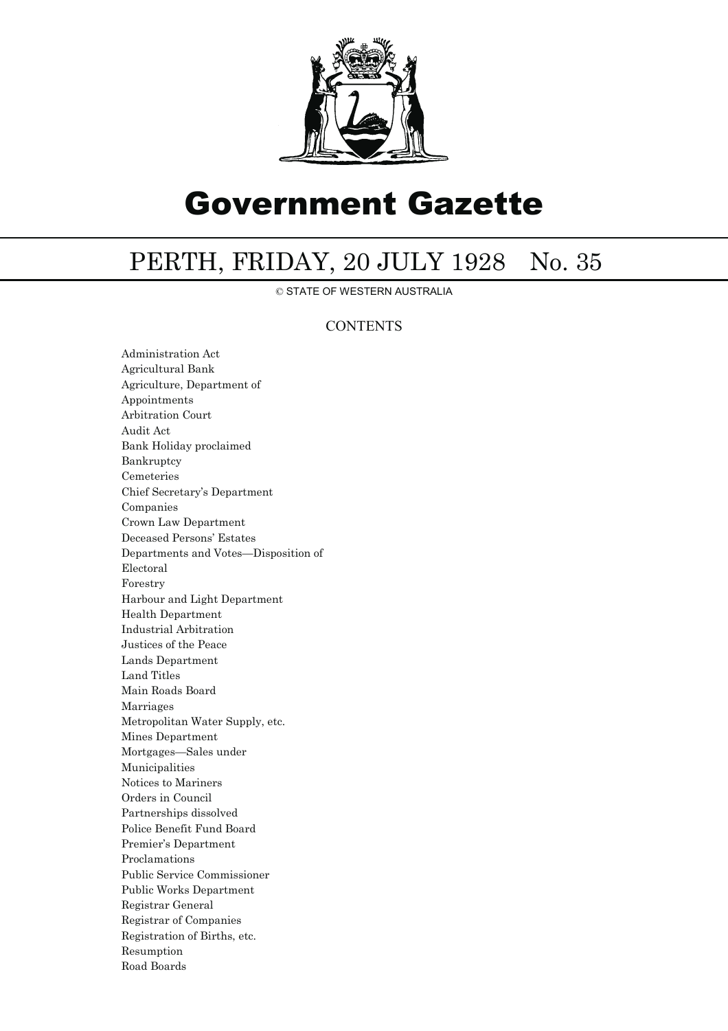

# Government Gazette

## PERTH, FRIDAY, 20 JULY 1928 No. 35

© STATE OF WESTERN AUSTRALIA

## **CONTENTS**

Administration Act Agricultural Bank Agriculture, Department of Appointments Arbitration Court Audit Act Bank Holiday proclaimed Bankruptcy Cemeteries Chief Secretary's Department Companies Crown Law Department Deceased Persons' Estates Departments and Votes—Disposition of Electoral Forestry Harbour and Light Department Health Department Industrial Arbitration Justices of the Peace Lands Department Land Titles Main Roads Board Marriages Metropolitan Water Supply, etc. Mines Department Mortgages—Sales under Municipalities Notices to Mariners Orders in Council Partnerships dissolved Police Benefit Fund Board Premier's Department Proclamations Public Service Commissioner Public Works Department Registrar General Registrar of Companies Registration of Births, etc. Resumption Road Boards